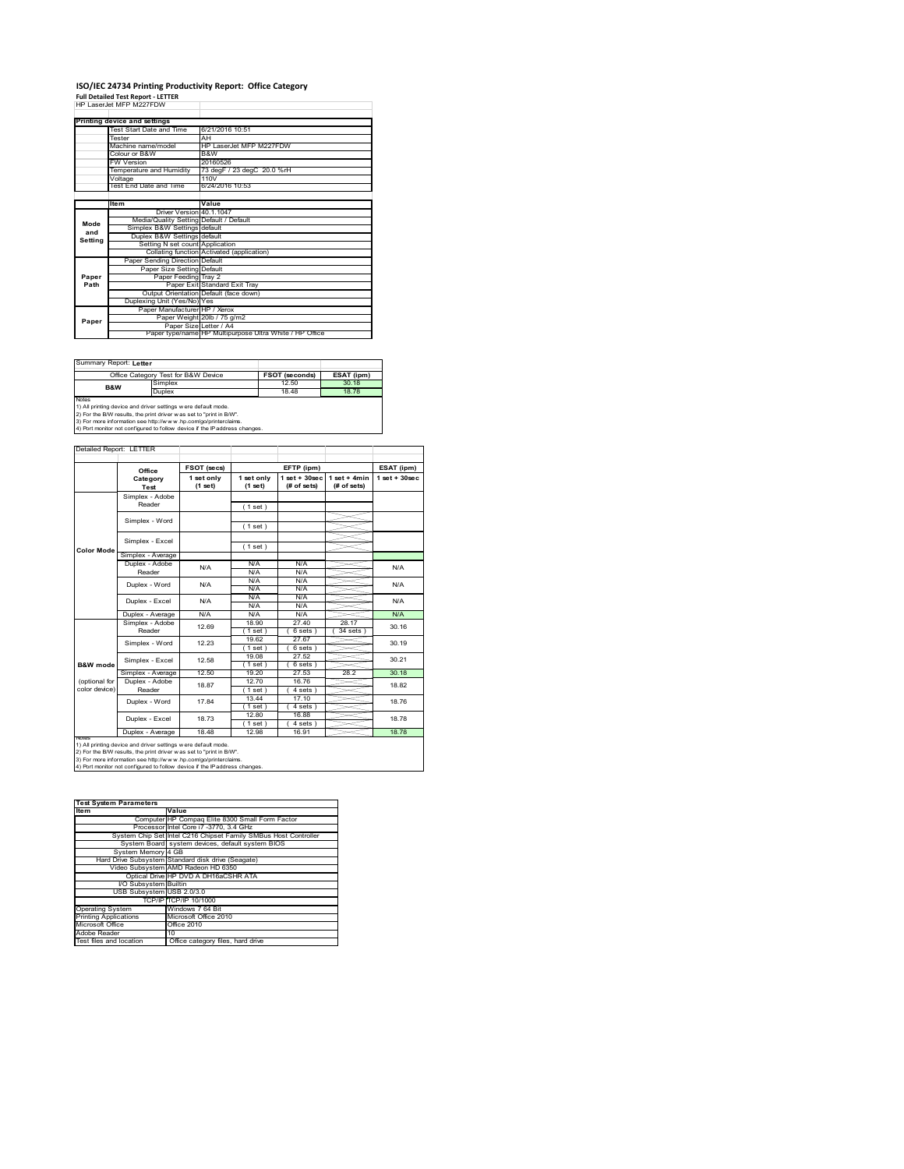# **ISO/IEC 24734 Printing Productivity Report: Office Category Full Detailed Test Report ‐ LETTER** HP LaserJet MFP M227FDW

|         | HP I aser let MFP M227FDW               |                                                         |
|---------|-----------------------------------------|---------------------------------------------------------|
|         |                                         |                                                         |
|         | Printing device and settings            |                                                         |
|         | Test Start Date and Time                | 6/21/2016 10:51                                         |
|         | Tester                                  | AH                                                      |
|         | Machine name/model                      | HP LaserJet MFP M227FDW                                 |
|         | Colour or B&W                           | B&W                                                     |
|         | <b>FW Version</b>                       | 20160526                                                |
|         | Temperature and Humidity                | 73 degF / 23 degC 20.0 %rH                              |
|         | Voltage                                 | 110V                                                    |
|         | Test End Date and Time                  | 6/24/2016 10:53                                         |
|         |                                         |                                                         |
|         | <b>Item</b>                             | Value                                                   |
|         | Driver Version 40.1.1047                |                                                         |
| Mode    | Media/Quality Setting Default / Default |                                                         |
| and     | Simplex B&W Settings default            |                                                         |
| Settina | Duplex B&W Settings default             |                                                         |
|         | Setting N set count Application         |                                                         |
|         |                                         | Collating function Activated (application)              |
|         | Paper Sending Direction Default         |                                                         |
|         | Paper Size Setting Default              |                                                         |
| Paper   | Paper Feeding Tray 2                    |                                                         |
| Path    |                                         | Paper Exit Standard Exit Tray                           |
|         |                                         | Output Orientation Default (face down)                  |
|         | Duplexing Unit (Yes/No) Yes             |                                                         |
|         | Paper Manufacturer HP / Xerox           |                                                         |
| Paper   |                                         | Paper Weight 20lb / 75 g/m2                             |
|         | Paper Size Letter / A4                  |                                                         |
|         |                                         | Paper type/name HP Multipurpose Ultra White / HP Office |

Summary Report: **Letter**

|                                                                            | Office Category Test for B&W Device                            | <b>FSOT (seconds)</b> | ESAT (ipm) |  |  |  |
|----------------------------------------------------------------------------|----------------------------------------------------------------|-----------------------|------------|--|--|--|
| B&W                                                                        | Simplex                                                        | 12.50                 | 30.18      |  |  |  |
|                                                                            | Duplex                                                         | 18.48                 | 18.78      |  |  |  |
| <b>Notes</b>                                                               |                                                                |                       |            |  |  |  |
|                                                                            | 1) All printing device and driver settings w ere default mode. |                       |            |  |  |  |
| [2) For the B/W results, the print driver was set to "print in B/W".       |                                                                |                       |            |  |  |  |
| 3) For more information see http://www.hp.com/go/printerclaims.            |                                                                |                       |            |  |  |  |
| 4) Port monitor not configured to follow device if the IP address changes. |                                                                |                       |            |  |  |  |

Detailed Report: LETTER

|                     | Office                    | FSOT (secs)           |                       | EFTP (ipm)                      |                               | ESAT (ipm)         |  |
|---------------------|---------------------------|-----------------------|-----------------------|---------------------------------|-------------------------------|--------------------|--|
|                     | Category<br>Test          | 1 set only<br>(1 set) | 1 set only<br>(1 set) | $1 set + 30 sec$<br>(# of sets) | $1$ set + 4min<br>(# of sets) | $1$ set + $30$ sec |  |
|                     | Simplex - Adobe           |                       |                       |                                 |                               |                    |  |
|                     | Reader                    |                       | (1 set)               |                                 |                               |                    |  |
|                     | Simplex - Word            |                       |                       |                                 |                               |                    |  |
|                     |                           |                       | (1 set)               |                                 |                               |                    |  |
|                     | Simplex - Excel           |                       |                       |                                 |                               |                    |  |
| <b>Color Mode</b>   |                           |                       | (1 set)               |                                 |                               |                    |  |
|                     | Simplex - Average         |                       |                       |                                 |                               |                    |  |
|                     | Duplex - Adobe            | N/A                   | N/A                   | N/A                             |                               | N/A                |  |
|                     | Reader                    |                       | N/A                   | N/A                             |                               |                    |  |
|                     | Duplex - Word             | N/A                   | N/A                   | N/A                             |                               | N/A                |  |
|                     |                           |                       | N/A                   | N/A                             |                               |                    |  |
|                     | Duplex - Excel            | N/A                   | N/A                   | N/A                             |                               | N/A                |  |
|                     |                           |                       | N/A                   | N/A                             |                               |                    |  |
|                     | Duplex - Average          | N/A                   | N/A                   | N/A                             |                               | N/A                |  |
|                     | Simplex - Adobe<br>Reader | 12.69                 | 18.90                 | 27.40                           | 28.17                         | 30.16              |  |
|                     |                           |                       | $1$ set)              | 6 sets )                        | $34$ sets                     |                    |  |
|                     | Simplex - Word            | 12.23                 | 19.62                 | 27.67                           |                               | 30.19              |  |
|                     |                           |                       | (1 set)               | 6 sets)                         |                               |                    |  |
|                     | Simplex - Excel           | 12.58                 | 19.08                 | 27.52                           |                               | 30.21              |  |
| <b>B&amp;W</b> mode |                           |                       | $1$ set)              | 6 sets)                         |                               |                    |  |
|                     | Simplex - Average         | 12.50                 | 19.20                 | 27.53                           | 28.2                          | 30.18              |  |
| (optional for       | Duplex - Adobe            | 18.87                 | 12.70                 | 16.76                           |                               |                    |  |
| color device)       | Reader                    |                       | $1$ set)              | 4 sets)                         |                               | 18.82              |  |
|                     | Duplex - Word             | 17.84                 | 13.44                 | 17.10                           |                               | 18.76              |  |
|                     |                           |                       | 1 set                 | 4 sets                          |                               |                    |  |
|                     | Duplex - Excel            | 18.73                 | 12.80                 | 16.88                           |                               | 18.78              |  |
|                     |                           |                       | $1$ set $)$           | $4 sets$ )                      |                               |                    |  |
|                     | Duplex - Average          | 18.48                 | 12.98                 | 16.91                           |                               | 18.78              |  |

1) All printing device and driver settings were default mode.<br>2) For the B/W results, the print driver was set to "print in B/W".<br>3) For more information see http://www.hp.com/go/printerclaims.<br>4) Port monitor not configur

| <b>Test System Parameters</b><br><b>Item</b> | Value                                                           |
|----------------------------------------------|-----------------------------------------------------------------|
|                                              |                                                                 |
|                                              | Computer HP Compaq Elite 8300 Small Form Factor                 |
|                                              | Processor Intel Core i7 -3770, 3.4 GHz                          |
|                                              | System Chip Set Intel C216 Chipset Family SMBus Host Controller |
|                                              | System Board system devices, default system BIOS                |
| System Memory 4 GB                           |                                                                 |
|                                              | Hard Drive Subsystem Standard disk drive (Seagate)              |
|                                              | Video Subsystem AMD Radeon HD 6350                              |
|                                              | Optical Drive HP DVD A DH16aCSHR ATA                            |
| I/O Subsystem Builtin                        |                                                                 |
| USB Subsystem USB 2.0/3.0                    |                                                                 |
|                                              | TCP/IP TCP/IP 10/1000                                           |
| <b>Operating System</b>                      | Windows 7 64 Bit                                                |
| <b>Printing Applications</b>                 | Microsoft Office 2010                                           |
| Microsoft Office                             | Office 2010                                                     |
| Adobe Reader                                 | 10                                                              |
| Test files and location                      | Office category files, hard drive                               |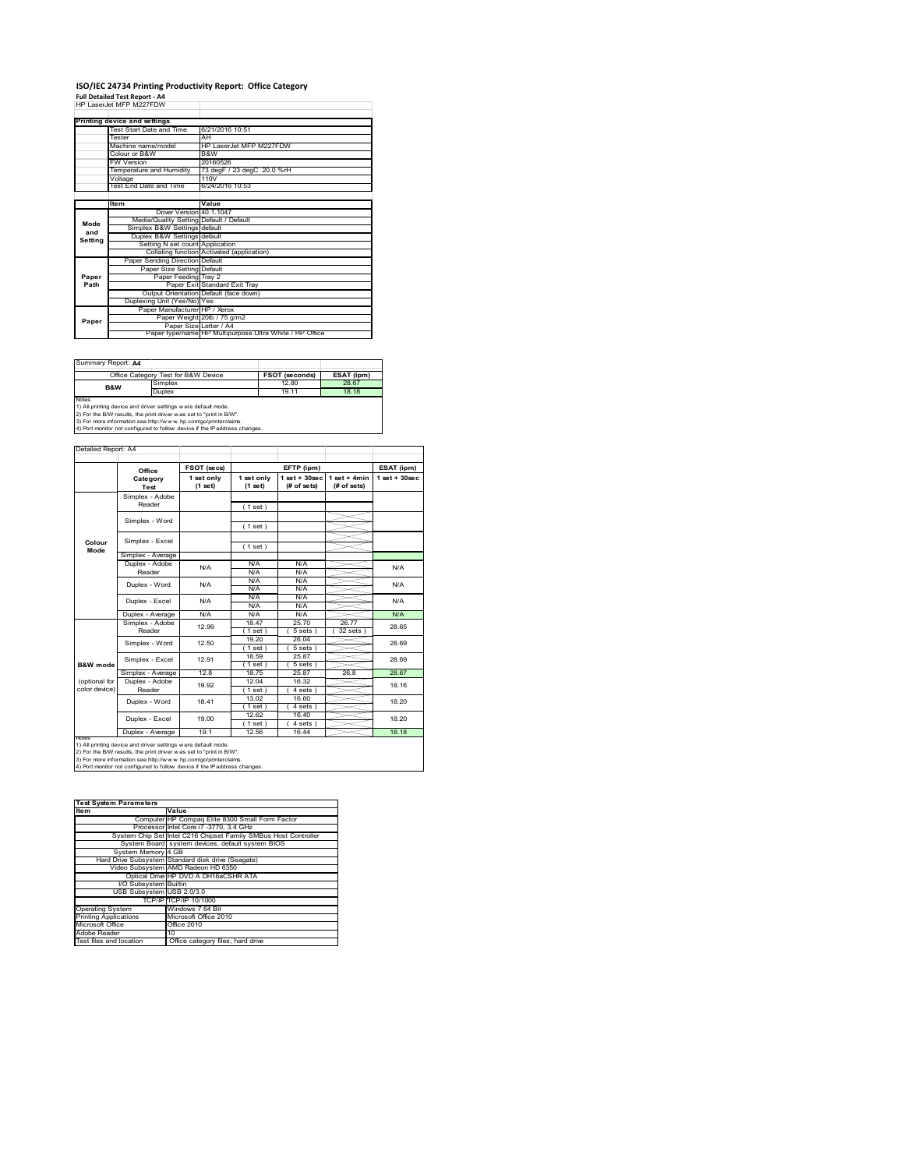## **ISO/IEC 24734 Printing Productivity Report: Office Category Full Detailed Test Report ‐ A4** HP LaserJet MFP M227FDW

|         | HP I aser let MFP M227FDW               |                                                         |
|---------|-----------------------------------------|---------------------------------------------------------|
|         | Printing device and settings            |                                                         |
|         | Test Start Date and Time                | 6/21/2016 10:51                                         |
|         | Tester                                  | AH                                                      |
|         | Machine name/model                      | HP LaserJet MFP M227FDW                                 |
|         | Colour or B&W                           | B&W                                                     |
|         | <b>FW Version</b>                       | 20160526                                                |
|         | Temperature and Humidity                | 73 degF / 23 degC 20.0 %rH                              |
|         | Voltage                                 | 110V                                                    |
|         | Test End Date and Time                  | 6/24/2016 10:53                                         |
|         |                                         |                                                         |
|         | Item                                    | Value                                                   |
|         | Driver Version 40.1.1047                |                                                         |
| Mode    | Media/Quality Setting Default / Default |                                                         |
| and     | Simplex B&W Settings default            |                                                         |
| Setting | Duplex B&W Settings default             |                                                         |
|         | Setting N set count Application         |                                                         |
|         |                                         | Collating function Activated (application)              |
|         | Paper Sending Direction Default         |                                                         |
|         | Paper Size Setting Default              |                                                         |
| Paper   | Paper Feeding Tray 2                    |                                                         |
| Path    |                                         | Paper Exit Standard Exit Trav                           |
|         |                                         | Output Orientation Default (face down)                  |
|         | Duplexing Unit (Yes/No) Yes             |                                                         |
|         | Paper Manufacturer HP / Xerox           |                                                         |
| Paper   |                                         | Paper Weight 20lb / 75 g/m2                             |
|         | Paper Size Letter / A4                  |                                                         |
|         |                                         | Paper type/name HP Multipurpose Ultra White / HP Office |

Summary Report: **A4**

|                                                                | Office Category Test for B&W Device                               | <b>FSOT (seconds)</b> | ESAT (ipm) |  |  |  |
|----------------------------------------------------------------|-------------------------------------------------------------------|-----------------------|------------|--|--|--|
| B&W                                                            | Simplex                                                           | 12.80                 | 28.67      |  |  |  |
|                                                                | <b>Duplex</b>                                                     | 19 11                 | 18 18      |  |  |  |
| <b>Notes</b>                                                   |                                                                   |                       |            |  |  |  |
| 1) All printing device and driver settings w ere default mode. |                                                                   |                       |            |  |  |  |
|                                                                | 2) For the RAM require the print driver was not to "print in RAA" |                       |            |  |  |  |

2) For the B/W results, the print driver w as set to "print in B/W".<br>3) For more information see http://w w w .hp.com/go/printerclaims.<br>4) Port monitor not configured to follow device if the IP address changes.

|                     | Office            | FSOT (secs)           |                       | EFTP (ipm)                       |                               | ESAT (ipm)        |  |
|---------------------|-------------------|-----------------------|-----------------------|----------------------------------|-------------------------------|-------------------|--|
|                     | Category<br>Test  | 1 set only<br>(1 set) | 1 set only<br>(1 set) | $1$ set $+30$ sec<br>(# of sets) | $1$ set + 4min<br>(# of sets) | $1$ set $+30$ sec |  |
|                     | Simplex - Adobe   |                       |                       |                                  |                               |                   |  |
|                     | Reader            |                       | $1$ set)              |                                  |                               |                   |  |
|                     | Simplex - Word    |                       |                       |                                  |                               |                   |  |
|                     |                   |                       | (1 set)               |                                  |                               |                   |  |
|                     | Simplex - Excel   |                       |                       |                                  |                               |                   |  |
| Colour<br>Mode      |                   |                       | (1 set)               |                                  |                               |                   |  |
|                     | Simplex - Average |                       |                       |                                  |                               |                   |  |
|                     | Duplex - Adobe    | N/A                   | N/A                   | N/A                              |                               | N/A               |  |
|                     | Reader            |                       | N/A                   | N/A                              |                               |                   |  |
|                     | Duplex - Word     | N/A                   | N/A                   | N/A                              |                               | N/A               |  |
|                     |                   |                       | N/A                   | N/A                              |                               |                   |  |
|                     | Duplex - Excel    | N/A                   | N/A                   | N/A                              |                               | N/A               |  |
|                     |                   |                       | N/A                   | N/A                              |                               |                   |  |
|                     | Duplex - Average  | N/A                   | N/A                   | N/A                              |                               | N/A               |  |
|                     | Simplex - Adobe   | 12.99                 | 18.47                 | 25.70                            | 2677                          | 28.65             |  |
|                     | Reader            |                       | (1 set )              | 5 sets)                          | $32$ sets $)$                 |                   |  |
|                     | Simplex - Word    | 12.50                 | 19.20                 | 26.04                            |                               | 28.69             |  |
|                     |                   |                       | $1$ set)              | 5 sets)                          |                               |                   |  |
|                     | Simplex - Excel   | 12 91                 | 18.59                 | 25.87                            |                               | 28.69             |  |
| <b>B&amp;W</b> mode |                   |                       | (1 set)               | 5 sets 1                         |                               |                   |  |
|                     | Simplex - Average | 12.8                  | 18.75                 | 25.87                            | 26.8                          | 28.67             |  |
| (optional for       | Duplex - Adobe    | 19.92                 | 12.04                 | 16.32                            |                               | 18.16             |  |
| color device)       | Reader            |                       | $1$ set)              | 4 sets)                          |                               |                   |  |
|                     | Duplex - Word     | 1841                  | 13.02                 | 16.60                            |                               | 18.20             |  |
|                     |                   |                       | $1$ set $1$           | 4 sets                           |                               |                   |  |
|                     | Duplex - Excel    | 19.00                 | 12.62                 | 16.40                            |                               | 18.20             |  |
|                     |                   |                       | $1$ set)              | 4 sets)                          |                               |                   |  |
|                     | Duplex - Average  | 191                   | 12.56                 | 16.44                            |                               | 18 18             |  |

1) All printing device and driver settings were default mode.<br>2) For the B/W results, the print driver was set to "print in B/W".<br>3) For more information see http://www.hp.com/go/printerclaims.<br>4) Port monitor not configur

| <b>Test System Parameters</b> |                                                                 |  |  |  |
|-------------------------------|-----------------------------------------------------------------|--|--|--|
| <b>Item</b>                   | Value                                                           |  |  |  |
|                               | Computer HP Compaq Elite 8300 Small Form Factor                 |  |  |  |
|                               | Processor Intel Core i7 -3770, 3.4 GHz                          |  |  |  |
|                               | System Chip Set Intel C216 Chipset Family SMBus Host Controller |  |  |  |
|                               | System Board system devices, default system BIOS                |  |  |  |
| System Memory 4 GB            |                                                                 |  |  |  |
|                               | Hard Drive Subsystem Standard disk drive (Seagate)              |  |  |  |
|                               | Video Subsystem AMD Radeon HD 6350                              |  |  |  |
|                               | Optical Drive HP DVD A DH16aCSHR ATA                            |  |  |  |
| I/O Subsystem Builtin         |                                                                 |  |  |  |
| USB Subsystem USB 2.0/3.0     |                                                                 |  |  |  |
|                               | TCP/IP TCP/IP 10/1000                                           |  |  |  |
| <b>Operating System</b>       | Windows 7 64 Bit                                                |  |  |  |
| <b>Printing Applications</b>  | Microsoft Office 2010                                           |  |  |  |
| Microsoft Office              | Office 2010                                                     |  |  |  |
| Adobe Reader                  | 10                                                              |  |  |  |
| Test files and location       | Office category files, hard drive                               |  |  |  |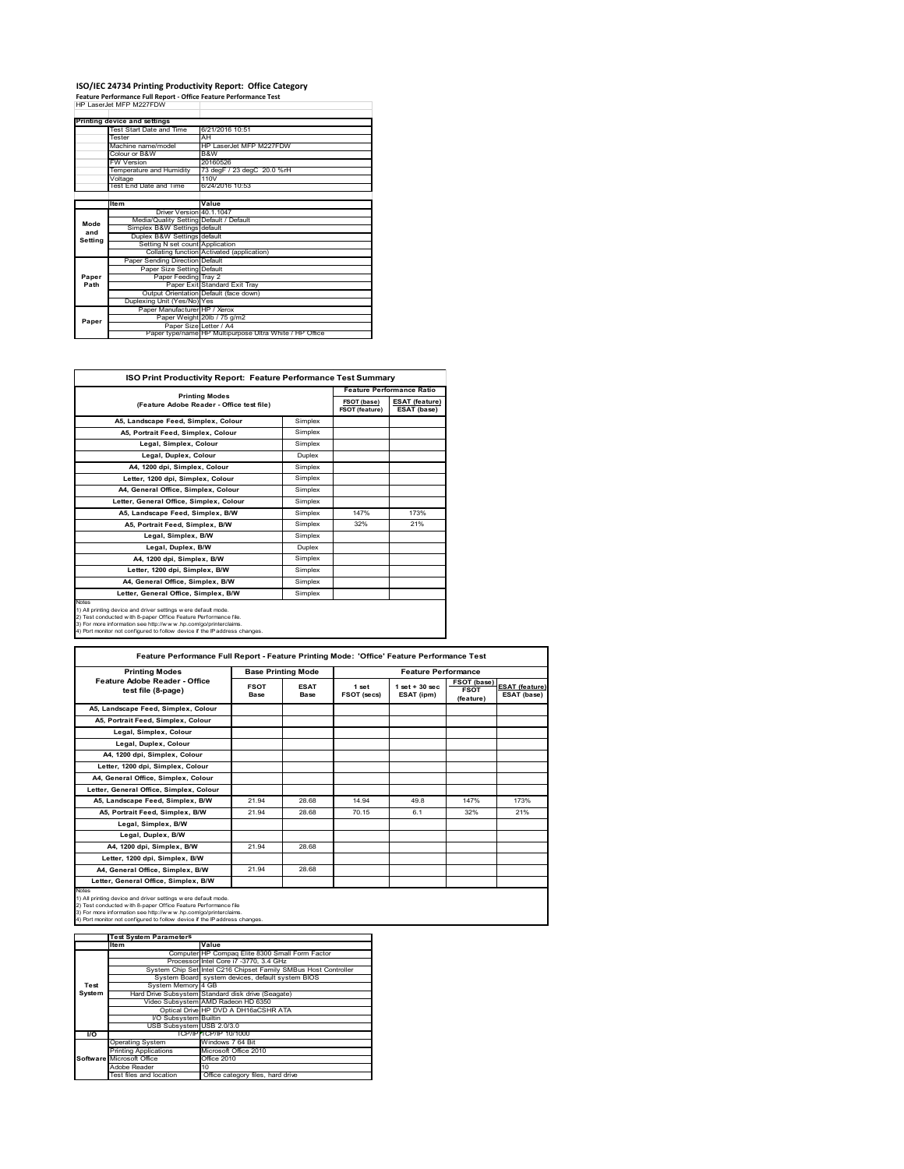# **ISO/IEC 24734 Printing Productivity Report: Office Category Feature Performance Full Report ‐ Office Feature Performance Test** HP LaserJet MFP M227FDW

|         | Printing device and settings            |                                                         |
|---------|-----------------------------------------|---------------------------------------------------------|
|         | Test Start Date and Time                | 6/21/2016 10:51                                         |
|         | Tester                                  | AH                                                      |
|         | Machine name/model                      | HP Laser let MFP M227FDW                                |
|         | Colour or B&W                           | B&W                                                     |
|         | <b>FW Version</b>                       | 20160526                                                |
|         | Temperature and Humidity                | 73 degF / 23 degC 20.0 %rH                              |
|         | Voltage                                 | 110V                                                    |
|         | Test End Date and Time                  | 6/24/2016 10:53                                         |
|         |                                         |                                                         |
|         | <b>Item</b>                             | Value                                                   |
|         | Driver Version 40.1.1047                |                                                         |
| Mode    | Media/Quality Setting Default / Default |                                                         |
| and     | Simplex B&W Settings default            |                                                         |
| Setting | Duplex B&W Settings default             |                                                         |
|         | Setting N set count Application         |                                                         |
|         |                                         | Collating function Activated (application)              |
|         | Paper Sending Direction Default         |                                                         |
|         | Paper Size Setting Default              |                                                         |
| Paper   | Paper Feeding Tray 2                    |                                                         |
| Path    |                                         | Paper Exit Standard Exit Tray                           |
|         |                                         | Output Orientation Default (face down)                  |
|         | Duplexing Unit (Yes/No) Yes             |                                                         |
|         | Paper Manufacturer HP / Xerox           |                                                         |
| Paper   |                                         | Paper Weight 20lb / 75 g/m2                             |
|         | Paper Size Letter / A4                  |                                                         |
|         |                                         | Paper type/name HP Multipurpose Ultra White / HP Office |

T.

| ISO Print Productivity Report: Feature Performance Test Summary                                                                                                                                                                                                                             |               |                                      |                                      |  |  |
|---------------------------------------------------------------------------------------------------------------------------------------------------------------------------------------------------------------------------------------------------------------------------------------------|---------------|--------------------------------------|--------------------------------------|--|--|
| <b>Printing Modes</b>                                                                                                                                                                                                                                                                       |               | <b>Feature Performance Ratio</b>     |                                      |  |  |
| (Feature Adobe Reader - Office test file)                                                                                                                                                                                                                                                   |               | FSOT (base)<br><b>FSOT (feature)</b> | <b>ESAT (feature)</b><br>ESAT (base) |  |  |
| A5, Landscape Feed, Simplex, Colour                                                                                                                                                                                                                                                         | Simplex       |                                      |                                      |  |  |
| A5, Portrait Feed, Simplex, Colour                                                                                                                                                                                                                                                          | Simplex       |                                      |                                      |  |  |
| Legal, Simplex, Colour                                                                                                                                                                                                                                                                      | Simplex       |                                      |                                      |  |  |
| Legal, Duplex, Colour                                                                                                                                                                                                                                                                       | <b>Duplex</b> |                                      |                                      |  |  |
| A4, 1200 dpi, Simplex, Colour                                                                                                                                                                                                                                                               | Simplex       |                                      |                                      |  |  |
| Letter, 1200 dpi, Simplex, Colour                                                                                                                                                                                                                                                           | Simplex       |                                      |                                      |  |  |
| A4, General Office, Simplex, Colour                                                                                                                                                                                                                                                         | Simplex       |                                      |                                      |  |  |
| Letter, General Office, Simplex, Colour                                                                                                                                                                                                                                                     | Simplex       |                                      |                                      |  |  |
| A5, Landscape Feed, Simplex, B/W                                                                                                                                                                                                                                                            | Simplex       | 147%                                 | 173%                                 |  |  |
| A5, Portrait Feed, Simplex, B/W                                                                                                                                                                                                                                                             | Simplex       | 32%                                  | 21%                                  |  |  |
| Legal, Simplex, B/W                                                                                                                                                                                                                                                                         | Simplex       |                                      |                                      |  |  |
| Legal, Duplex, B/W                                                                                                                                                                                                                                                                          | <b>Duplex</b> |                                      |                                      |  |  |
| A4, 1200 dpi, Simplex, B/W                                                                                                                                                                                                                                                                  | Simplex       |                                      |                                      |  |  |
| Letter, 1200 dpi, Simplex, B/W                                                                                                                                                                                                                                                              | Simplex       |                                      |                                      |  |  |
| A4. General Office. Simplex. B/W                                                                                                                                                                                                                                                            | Simplex       |                                      |                                      |  |  |
| Letter, General Office, Simplex, B/W                                                                                                                                                                                                                                                        | Simplex       |                                      |                                      |  |  |
| Notes<br>1) All printing device and driver settings w ere default mode.<br>2) Test conducted with 8-paper Office Feature Performance file.<br>3) For more information see http://www.hp.com/go/printerclaims.<br>4) Port monitor not configured to follow device if the IP address changes. |               |                                      |                                      |  |  |

| <b>Printing Modes</b>                               | <b>Base Printing Mode</b> |                            |                      | <b>Feature Performance</b>       |                                         |                                      |
|-----------------------------------------------------|---------------------------|----------------------------|----------------------|----------------------------------|-----------------------------------------|--------------------------------------|
| Feature Adobe Reader - Office<br>test file (8-page) | <b>FSOT</b><br>Base       | <b>ESAT</b><br><b>Base</b> | 1 set<br>FSOT (secs) | $1$ set $+30$ sec.<br>ESAT (ipm) | FSOT (base)<br><b>FSOT</b><br>(feature) | <b>ESAT (feature)</b><br>ESAT (base) |
| A5, Landscape Feed, Simplex, Colour                 |                           |                            |                      |                                  |                                         |                                      |
| A5, Portrait Feed, Simplex, Colour                  |                           |                            |                      |                                  |                                         |                                      |
| Legal, Simplex, Colour                              |                           |                            |                      |                                  |                                         |                                      |
| Legal, Duplex, Colour                               |                           |                            |                      |                                  |                                         |                                      |
| A4, 1200 dpi, Simplex, Colour                       |                           |                            |                      |                                  |                                         |                                      |
| Letter, 1200 dpi, Simplex, Colour                   |                           |                            |                      |                                  |                                         |                                      |
| A4, General Office, Simplex, Colour                 |                           |                            |                      |                                  |                                         |                                      |
| Letter, General Office, Simplex, Colour             |                           |                            |                      |                                  |                                         |                                      |
| A5, Landscape Feed, Simplex, B/W                    | 21.94                     | 28.68                      | 14 94                | 49.8                             | 147%                                    | 173%                                 |
| A5. Portrait Feed. Simplex. B/W                     | 21.94                     | 28.68                      | 70.15                | 6.1                              | 32%                                     | 21%                                  |
| Legal, Simplex, B/W                                 |                           |                            |                      |                                  |                                         |                                      |
| Legal, Duplex, B/W                                  |                           |                            |                      |                                  |                                         |                                      |
| A4. 1200 dpi. Simplex. B/W                          | 21.94                     | 28.68                      |                      |                                  |                                         |                                      |
| Letter, 1200 dpi, Simplex, B/W                      |                           |                            |                      |                                  |                                         |                                      |
| A4, General Office, Simplex, B/W                    | 21.94                     | 28.68                      |                      |                                  |                                         |                                      |
| Letter, General Office, Simplex, B/W                |                           |                            |                      |                                  |                                         |                                      |

|           | <b>Test System Parameters</b> |                                                                 |
|-----------|-------------------------------|-----------------------------------------------------------------|
|           | lte m                         | Value                                                           |
|           |                               | Computer HP Compaq Elite 8300 Small Form Factor                 |
|           |                               | Processor Intel Core i7 -3770, 3.4 GHz                          |
|           |                               | System Chip Set Intel C216 Chipset Family SMBus Host Controller |
|           |                               | System Board system devices, default system BIOS                |
| Test      | System Memory 4 GB            |                                                                 |
| System    |                               | Hard Drive Subsystem Standard disk drive (Seagate)              |
|           |                               | Video Subsystem AMD Radeon HD 6350                              |
|           |                               | Optical Drive HP DVD A DH16aCSHR ATA                            |
|           | I/O Subsystem Builtin         |                                                                 |
|           | USB Subsystem USB 2.0/3.0     |                                                                 |
| <b>VO</b> |                               | TCP/IPITCP/IP 10/1000                                           |
|           | <b>Operating System</b>       | Windows 7 64 Bit                                                |
|           | <b>Printing Applications</b>  | Microsoft Office 2010                                           |
|           | Software Microsoft Office     | Office 2010                                                     |
|           | Adobe Reader                  | 10                                                              |
|           | Test files and location       | Office category files, hard drive                               |
|           |                               |                                                                 |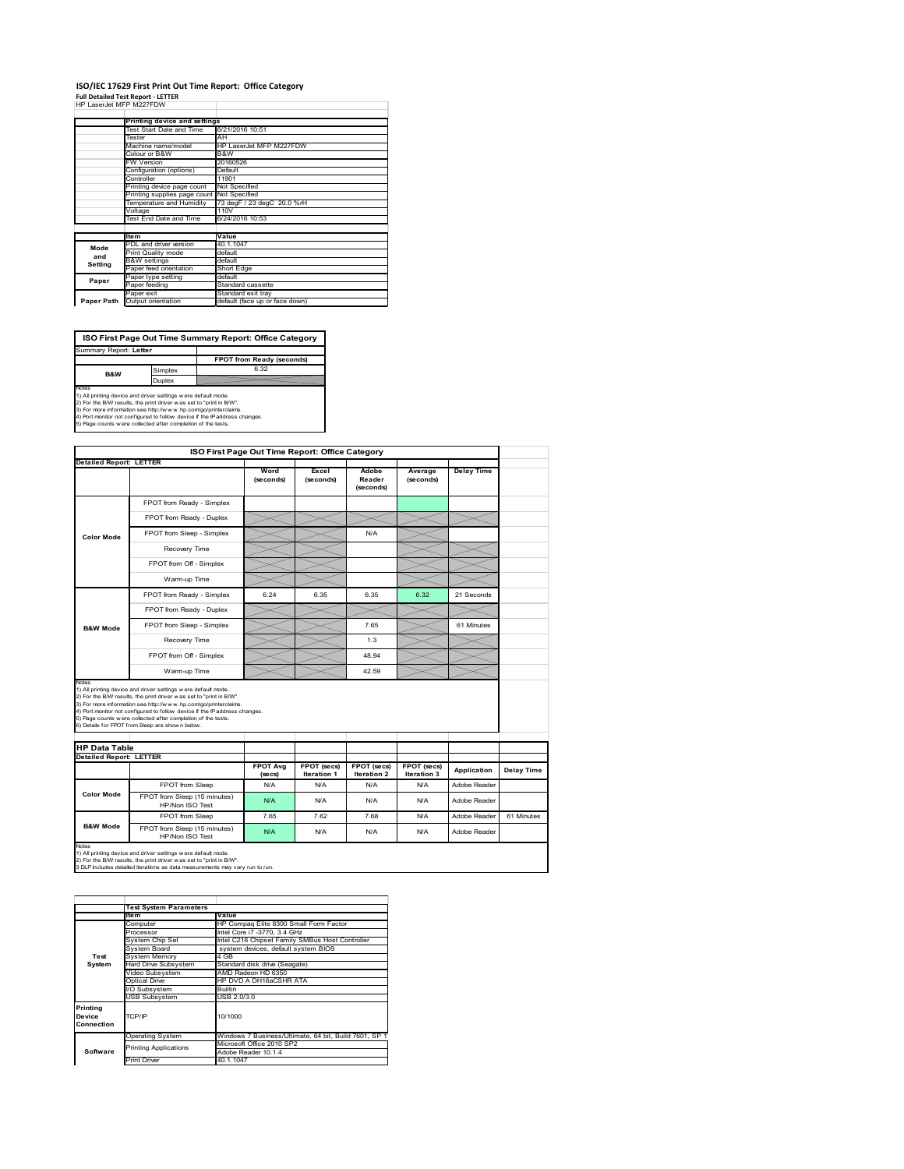# **ISO/IEC 17629 First Print Out Time Report: Office Category**

| <b>Full Detailed Test Report - LETTER</b> |  |
|-------------------------------------------|--|
| HP LaserJet MFP M227FDW                   |  |

|            | Printing device and settings               |                                |  |  |  |
|------------|--------------------------------------------|--------------------------------|--|--|--|
|            | Test Start Date and Time                   | 6/21/2016 10:51                |  |  |  |
|            | Tester                                     | AH                             |  |  |  |
|            | Machine name/model                         | HP LaserJet MFP M227FDW        |  |  |  |
|            | Colour or B&W                              | B&W                            |  |  |  |
|            | FW Version                                 | 20160526                       |  |  |  |
|            | Configuration (options)                    | Default                        |  |  |  |
|            | Controller                                 | 11901                          |  |  |  |
|            | Printing device page count                 | Not Specified                  |  |  |  |
|            | Printing supplies page count Not Specified |                                |  |  |  |
|            | Temperature and Humidity                   | 73 degF / 23 degC 20.0 %rH     |  |  |  |
|            | Voltage                                    | 110V                           |  |  |  |
|            | Test End Date and Time                     | 6/24/2016 10:53                |  |  |  |
|            |                                            |                                |  |  |  |
|            | <b>Item</b>                                | Value                          |  |  |  |
| Mode       | PDL and driver version                     | 40.1.1047                      |  |  |  |
| and        | Print Quality mode                         | default                        |  |  |  |
| Setting    | <b>B&amp;W</b> settings                    | default                        |  |  |  |
|            | Paper feed orientation                     | Short Edge                     |  |  |  |
| Paper      | Paper type setting                         | default                        |  |  |  |
|            | Paper feeding                              | Standard cassette              |  |  |  |
|            | Paper exit                                 | Standard exit tray             |  |  |  |
| Paper Path | Output orientation                         | default (face up or face down) |  |  |  |

**FPOT from Ready (seconds)**<br>
Simplex 6.32 **ISO First Page Out Time Summary Report: Office Category** rt: **Letter B&W**

**Duplex**<br>Notes<br>1) All printing device and driver settings were default mode.<br>2) For the BM results, the print driver was set to "print in BM".<br>4) For more information see http://www.hp.com/golprinterclaims.<br>4) Port monitor

| FPOT from Ready - Simplex<br>FPOT from Ready - Duplex<br>FPOT from Sleep - Simplex<br>Recovery Time<br>FPOT from Off - Simplex<br>Warm-up Time<br>FPOT from Ready - Simplex<br>FPOT from Ready - Duplex<br>FPOT from Sleep - Simplex<br>Recovery Time                                                                                                                                                                                        | Word<br>(seconds)<br>6.24                       | Excel<br>(seconds)<br>6.35 | Adobe<br>Reader<br>(seconds)<br>N/A<br>6.35 | Average<br>(seconds)<br>6.32                                   | <b>Delay Time</b><br>21 Seconds                                      |            |  |
|----------------------------------------------------------------------------------------------------------------------------------------------------------------------------------------------------------------------------------------------------------------------------------------------------------------------------------------------------------------------------------------------------------------------------------------------|-------------------------------------------------|----------------------------|---------------------------------------------|----------------------------------------------------------------|----------------------------------------------------------------------|------------|--|
|                                                                                                                                                                                                                                                                                                                                                                                                                                              |                                                 |                            |                                             |                                                                |                                                                      |            |  |
|                                                                                                                                                                                                                                                                                                                                                                                                                                              |                                                 |                            |                                             |                                                                |                                                                      |            |  |
|                                                                                                                                                                                                                                                                                                                                                                                                                                              |                                                 |                            |                                             |                                                                |                                                                      |            |  |
|                                                                                                                                                                                                                                                                                                                                                                                                                                              |                                                 |                            |                                             |                                                                |                                                                      |            |  |
|                                                                                                                                                                                                                                                                                                                                                                                                                                              |                                                 |                            |                                             |                                                                |                                                                      |            |  |
|                                                                                                                                                                                                                                                                                                                                                                                                                                              |                                                 |                            |                                             |                                                                |                                                                      |            |  |
|                                                                                                                                                                                                                                                                                                                                                                                                                                              |                                                 |                            |                                             |                                                                |                                                                      |            |  |
|                                                                                                                                                                                                                                                                                                                                                                                                                                              |                                                 |                            |                                             |                                                                |                                                                      |            |  |
|                                                                                                                                                                                                                                                                                                                                                                                                                                              |                                                 |                            |                                             |                                                                |                                                                      |            |  |
|                                                                                                                                                                                                                                                                                                                                                                                                                                              |                                                 |                            |                                             |                                                                |                                                                      |            |  |
|                                                                                                                                                                                                                                                                                                                                                                                                                                              |                                                 |                            | 7.65                                        |                                                                | 61 Minutes                                                           |            |  |
|                                                                                                                                                                                                                                                                                                                                                                                                                                              |                                                 |                            | 1.3                                         |                                                                |                                                                      |            |  |
| FPOT from Off - Simplex                                                                                                                                                                                                                                                                                                                                                                                                                      |                                                 |                            | 48.94                                       |                                                                |                                                                      |            |  |
| Warm-up Time                                                                                                                                                                                                                                                                                                                                                                                                                                 |                                                 |                            | 42.59                                       |                                                                |                                                                      |            |  |
| Notes<br>1) All printing device and driver settings w ere default mode.<br>2) For the B/W results, the print driver was set to "print in B/W".<br>3) For more information see http://www.hp.com/go/printerclaims.<br>4) Port monitor not configured to follow device if the IP address changes.<br>5) Page counts w ere collected after completion of the tests.<br>6) Details for FPOT from Sleep are show n below.<br><b>HP Data Table</b> |                                                 |                            |                                             |                                                                |                                                                      |            |  |
|                                                                                                                                                                                                                                                                                                                                                                                                                                              |                                                 |                            |                                             |                                                                |                                                                      |            |  |
|                                                                                                                                                                                                                                                                                                                                                                                                                                              | <b>FPOT Avg</b><br>(se cs)                      | FPOT (secs)<br>Iteration 1 | FPOT (secs)<br>Iteration 2                  | FPOT (secs)<br>Iteration 3                                     | Application                                                          | Delay Time |  |
| FPOT from Sleep                                                                                                                                                                                                                                                                                                                                                                                                                              | N/A                                             | N/A                        | N/A                                         | N/A                                                            | Adobe Reader                                                         |            |  |
| FPOT from Sleep (15 minutes)<br>HP/Non ISO Test                                                                                                                                                                                                                                                                                                                                                                                              | N/A                                             | N/A                        | N/A                                         | N/A                                                            | Adobe Reader                                                         |            |  |
|                                                                                                                                                                                                                                                                                                                                                                                                                                              | 7.65                                            | 7.62                       | 7.68                                        | N/A                                                            | Adobe Reader                                                         | 61 Minutes |  |
| FPOT from Sleep                                                                                                                                                                                                                                                                                                                                                                                                                              | N/A                                             | N/A                        | N/A                                         | N/A                                                            | Adobe Reader                                                         |            |  |
|                                                                                                                                                                                                                                                                                                                                                                                                                                              | FPOT from Sleep (15 minutes)<br>HP/Non ISO Test |                            |                                             | 1) All printing device and driver settings w ere default mode. | 2) For the B/W results, the print driver w as set to "print in B/W". |            |  |

|                                  | <b>Test System Parameters</b>                         |                                                       |  |  |  |
|----------------------------------|-------------------------------------------------------|-------------------------------------------------------|--|--|--|
|                                  | <b>Item</b>                                           | Value                                                 |  |  |  |
|                                  | Computer                                              | HP Compag Elite 8300 Small Form Factor                |  |  |  |
|                                  | Processor                                             | Intel Core i7 -3770, 3.4 GHz                          |  |  |  |
|                                  | System Chip Set                                       | Intel C216 Chipset Family SMBus Host Controller       |  |  |  |
|                                  | System Board                                          | system devices, default system BIOS                   |  |  |  |
| Test                             | <b>System Memory</b>                                  | 4 GB                                                  |  |  |  |
| System                           | Hard Drive Subsystem<br>Standard disk drive (Seagate) |                                                       |  |  |  |
|                                  | Video Subsystem                                       | AMD Radeon HD 6350                                    |  |  |  |
|                                  | Optical Drive                                         | HP DVD A DH16aCSHR ATA                                |  |  |  |
|                                  | I/O Subsystem                                         | <b>Builtin</b>                                        |  |  |  |
|                                  | <b>USB Subsystem</b>                                  | USB 2.0/3.0                                           |  |  |  |
| Printing<br>Device<br>Connection | TCP/IP                                                | 10/1000                                               |  |  |  |
|                                  | <b>Operating System</b>                               | Windows 7 Business/Ultimate, 64 bit, Build 7601, SP 1 |  |  |  |
|                                  | <b>Printing Applications</b>                          | Microsoft Office 2010 SP2                             |  |  |  |
| Software                         |                                                       | Adobe Reader 10.1.4                                   |  |  |  |
|                                  | <b>Print Driver</b>                                   | 40.1.1047                                             |  |  |  |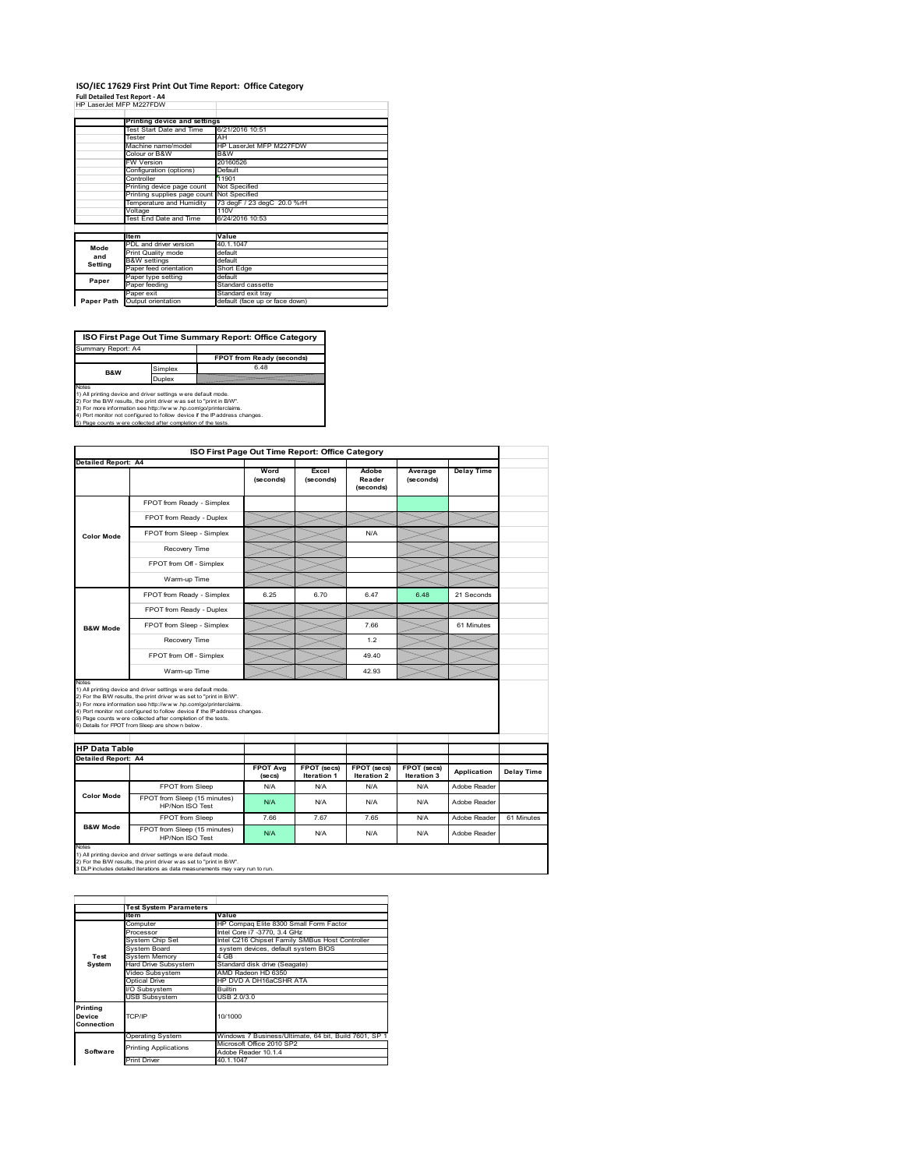#### **ISO/IEC 17629 First Print Out Time Report: Office Category Full Detailed Test Report ‐ A4**

| HP LaserJet MFP M227FDW |  |  |
|-------------------------|--|--|

|            | Printing device and settings               |                                |  |  |  |
|------------|--------------------------------------------|--------------------------------|--|--|--|
|            |                                            |                                |  |  |  |
|            | Test Start Date and Time                   | 6/21/2016 10:51                |  |  |  |
|            | Tester                                     | AH                             |  |  |  |
|            | Machine name/model                         | HP LaserJet MFP M227FDW        |  |  |  |
|            | Colour or B&W                              | B&W                            |  |  |  |
|            | <b>FW Version</b>                          | 20160526                       |  |  |  |
|            | Configuration (options)                    | Default                        |  |  |  |
|            | Controller                                 | 11901                          |  |  |  |
|            | Printing device page count                 | Not Specified                  |  |  |  |
|            | Printing supplies page count Not Specified |                                |  |  |  |
|            | Temperature and Humidity                   | 73 degF / 23 degC 20.0 %rH     |  |  |  |
|            | Voltage                                    | 110V                           |  |  |  |
|            | Test End Date and Time                     | 6/24/2016 10:53                |  |  |  |
|            |                                            |                                |  |  |  |
|            | <b>Item</b>                                | Value                          |  |  |  |
| Mode       | PDL and driver version                     | 40.1.1047                      |  |  |  |
| and        | Print Quality mode                         | default                        |  |  |  |
|            | <b>B&amp;W</b> settings                    | default                        |  |  |  |
| Setting    | Paper feed orientation                     | Short Edge                     |  |  |  |
| Paper      | Paper type setting                         | default                        |  |  |  |
|            | Paper feeding                              | Standard cassette              |  |  |  |
|            | Paper exit                                 | Standard exit tray             |  |  |  |
| Paper Path | Output orientation                         | default (face up or face down) |  |  |  |

**ISO First Page Out Time Summary Report: Office Category**

**FPOT from Ready (seconds)** Simplex 6.48 Duplex Notes<br>1) All printing device and driver settings were default mode.<br>2) For the BAV results, the print driver was set to "print in BAV".<br>3) For more information see http://www.hp.com/golprinterclaims.<br>4) Port monitor not co Summary Report: A4 **B&W**

|                                                             | ISO First Page Out Time Report: Office Category                                                                                                                                                                                                                                                                                                                                                             |                   |                    |                              |                      |                              |            |
|-------------------------------------------------------------|-------------------------------------------------------------------------------------------------------------------------------------------------------------------------------------------------------------------------------------------------------------------------------------------------------------------------------------------------------------------------------------------------------------|-------------------|--------------------|------------------------------|----------------------|------------------------------|------------|
| <b>Detailed Report: A4</b>                                  |                                                                                                                                                                                                                                                                                                                                                                                                             |                   |                    |                              |                      |                              |            |
|                                                             |                                                                                                                                                                                                                                                                                                                                                                                                             | Word<br>(seconds) | Excel<br>(seconds) | Adobe<br>Reader<br>(seconds) | Average<br>(seconds) | <b>Delay Time</b>            |            |
|                                                             | FPOT from Ready - Simplex                                                                                                                                                                                                                                                                                                                                                                                   |                   |                    |                              |                      |                              |            |
|                                                             | FPOT from Ready - Duplex                                                                                                                                                                                                                                                                                                                                                                                    |                   |                    |                              |                      |                              |            |
| <b>Color Mode</b>                                           | FPOT from Sleep - Simplex                                                                                                                                                                                                                                                                                                                                                                                   |                   |                    | N/A                          |                      |                              |            |
|                                                             | Recovery Time                                                                                                                                                                                                                                                                                                                                                                                               |                   |                    |                              |                      |                              |            |
|                                                             | FPOT from Off - Simplex                                                                                                                                                                                                                                                                                                                                                                                     |                   |                    |                              |                      |                              |            |
|                                                             | Warm-up Time                                                                                                                                                                                                                                                                                                                                                                                                |                   |                    |                              |                      |                              |            |
|                                                             | FPOT from Ready - Simplex                                                                                                                                                                                                                                                                                                                                                                                   | 6.25              | 6.70               | 6.47                         | 6.48                 | 21 Seconds                   |            |
|                                                             | FPOT from Ready - Duplex                                                                                                                                                                                                                                                                                                                                                                                    |                   |                    |                              |                      |                              |            |
| <b>B&amp;W Mode</b>                                         | FPOT from Sleep - Simplex                                                                                                                                                                                                                                                                                                                                                                                   |                   |                    | 7.66                         |                      | 61 Minutes                   |            |
|                                                             | Recovery Time                                                                                                                                                                                                                                                                                                                                                                                               |                   |                    | 1.2                          |                      |                              |            |
|                                                             |                                                                                                                                                                                                                                                                                                                                                                                                             |                   |                    |                              |                      |                              |            |
|                                                             | FPOT from Off - Simplex                                                                                                                                                                                                                                                                                                                                                                                     |                   |                    | 49.40                        |                      |                              |            |
|                                                             | Warm-up Time                                                                                                                                                                                                                                                                                                                                                                                                |                   |                    | 42.93                        |                      |                              |            |
| Notes<br><b>HP Data Table</b><br><b>Detailed Report: A4</b> | 1) All printing device and driver settings w ere default mode.<br>2) For the B/W results, the print driver was set to "print in B/W".<br>3) For more information see http://www.hp.com/go/printerclaims.<br>4) Port monitor not configured to follow device if the IP address changes.<br>5) Page counts w ere collected after completion of the tests.<br>6) Details for FPOT from Sleep are show n below. | <b>FPOT Avg</b>   | FPOT (secs)        | FPOT (secs)                  | FPOT (secs)          |                              |            |
|                                                             |                                                                                                                                                                                                                                                                                                                                                                                                             | (se cs)           | <b>Iteration 1</b> | <b>Iteration 2</b>           | Iteration 3          | Application                  | Delay Time |
| <b>Color Mode</b>                                           | FPOT from Sleep<br>FPOT from Sleep (15 minutes)                                                                                                                                                                                                                                                                                                                                                             | N/A<br>N/A        | N/A<br>N/A         | N/A<br>N/A                   | N/A<br>N/A           | Adobe Reader<br>Adobe Reader |            |
|                                                             | HP/Non ISO Test<br>FPOT from Sleep                                                                                                                                                                                                                                                                                                                                                                          | 7.66              | 7.67               | 765                          | N/A                  | Adobe Reader                 | 61 Minutes |

|                                  | <b>Test System Parameters</b>           |                                                       |  |  |  |
|----------------------------------|-----------------------------------------|-------------------------------------------------------|--|--|--|
|                                  | <b>Item</b>                             | Value                                                 |  |  |  |
|                                  | Computer                                | HP Compag Elite 8300 Small Form Factor                |  |  |  |
|                                  | Processor                               | Intel Core i7 -3770, 3.4 GHz                          |  |  |  |
|                                  | System Chip Set                         | Intel C216 Chipset Family SMBus Host Controller       |  |  |  |
|                                  | System Board                            | system devices, default system BIOS                   |  |  |  |
| Test                             | System Memory                           | 4 GB                                                  |  |  |  |
| System                           | Hard Drive Subsystem                    | Standard disk drive (Seagate)                         |  |  |  |
|                                  | Video Subsystem                         | AMD Radeon HD 6350                                    |  |  |  |
|                                  | HP DVD A DH16aCSHR ATA<br>Optical Drive |                                                       |  |  |  |
|                                  | VO Subsystem                            | <b>Builtin</b>                                        |  |  |  |
|                                  | <b>USB Subsystem</b>                    | USB 2.0/3.0                                           |  |  |  |
| Printing<br>Device<br>Connection | TCP/IP                                  | 10/1000                                               |  |  |  |
|                                  | <b>Operating System</b>                 | Windows 7 Business/Ultimate, 64 bit, Build 7601, SP 1 |  |  |  |
|                                  | <b>Printing Applications</b>            | Microsoft Office 2010 SP2                             |  |  |  |
| Software                         |                                         | Adobe Reader 10.1.4                                   |  |  |  |
|                                  | <b>Print Driver</b>                     | 40.1.1047                                             |  |  |  |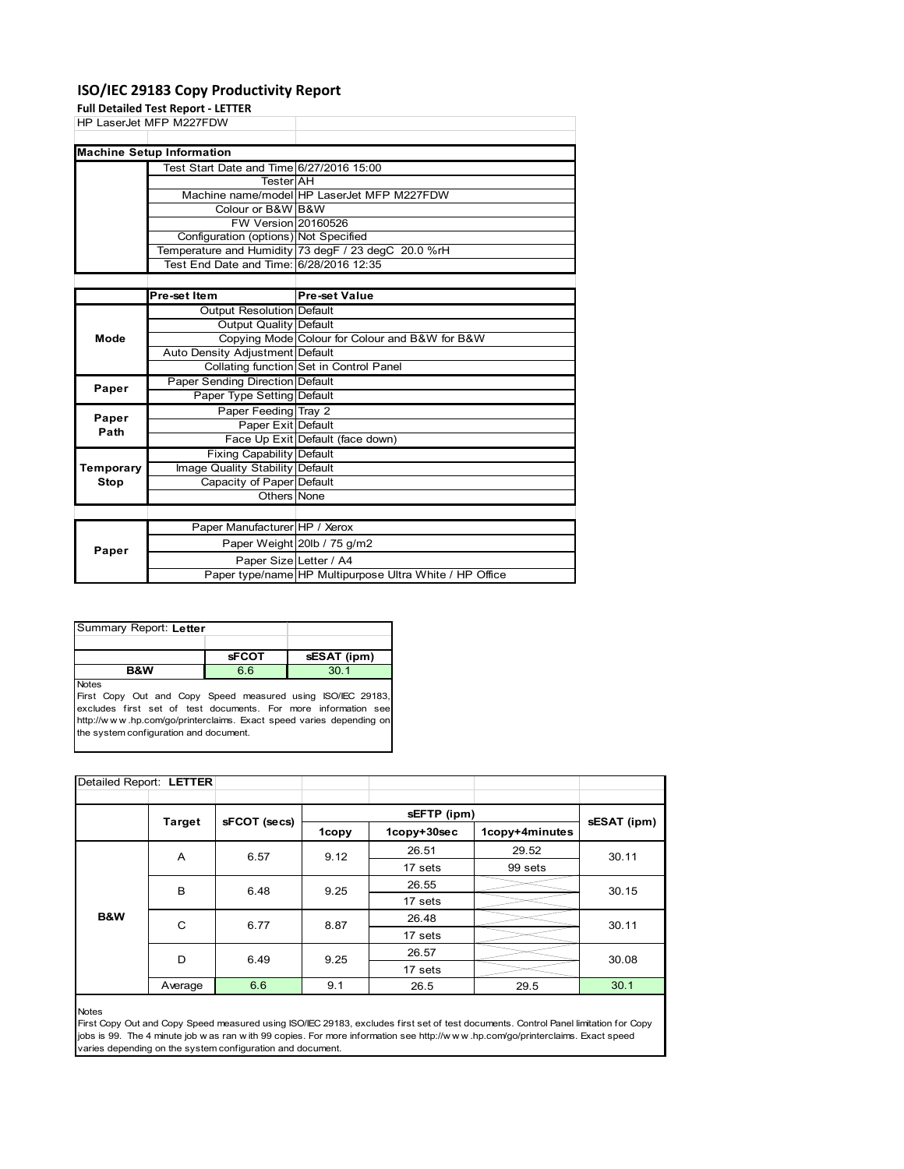# **ISO/IEC 29183 Copy Productivity Report**

**Full Detailed Test Report ‐ LETTER**

|       | HP LaserJet MFP M227FDW                  |                                                     |  |
|-------|------------------------------------------|-----------------------------------------------------|--|
|       |                                          |                                                     |  |
|       | <b>Machine Setup Information</b>         |                                                     |  |
|       | Test Start Date and Time 6/27/2016 15:00 |                                                     |  |
|       | <b>Tester</b> AH                         |                                                     |  |
|       |                                          | Machine name/model HP LaserJet MFP M227FDW          |  |
|       | Colour or B&W B&W                        |                                                     |  |
|       | <b>FW Version 20160526</b>               |                                                     |  |
|       | Configuration (options) Not Specified    |                                                     |  |
|       |                                          | Temperature and Humidity 73 degF / 23 degC 20.0 %rH |  |
|       | Test End Date and Time: 6/28/2016 12:35  |                                                     |  |
|       |                                          |                                                     |  |
|       | Pre-set Item                             | <b>Pre-set Value</b>                                |  |
|       | <b>Output Resolution Default</b>         |                                                     |  |
|       | Output Quality Default                   |                                                     |  |
| Mode  |                                          | Copying Mode Colour for Colour and B&W for B&W      |  |
|       | Auto Density Adjustment Default          |                                                     |  |
|       |                                          | Collating function Set in Control Panel             |  |
|       | Paper Sending Direction Default          |                                                     |  |
| Paper | Paper Type Setting Default               |                                                     |  |
| Paper | Paper Feeding Tray 2                     |                                                     |  |
|       | Paper Exit Default                       |                                                     |  |

| raper<br>Path | Paper Exit Default              |                                                         |
|---------------|---------------------------------|---------------------------------------------------------|
|               |                                 | Face Up Exit Default (face down)                        |
|               | Fixing Capability Default       |                                                         |
| Temporary     | Image Quality Stability Default |                                                         |
| Stop          | Capacity of Paper Default       |                                                         |
|               | Others None                     |                                                         |
|               |                                 |                                                         |
|               | Paper Manufacturer HP / Xerox   |                                                         |
| Paper         |                                 | Paper Weight 20lb / 75 g/m2                             |
|               | Paper Size Letter / A4          |                                                         |
|               |                                 | Paper type/name HP Multipurpose Ultra White / HP Office |

| Summary Report: Letter                   |             |  |  |  |  |
|------------------------------------------|-------------|--|--|--|--|
|                                          |             |  |  |  |  |
|                                          | sESAT (ipm) |  |  |  |  |
| 6.6<br>30 <sub>1</sub><br><b>B&amp;W</b> |             |  |  |  |  |
| <b>Notes</b>                             |             |  |  |  |  |

First Copy Out and Copy Speed measured using ISO/IEC 29183, excludes first set of test documents. For more information see http://w w w .hp.com/go/printerclaims. Exact speed varies depending on the system configuration and document.

| Detailed Report: LETTER |                               |      |      |             |                |             |  |
|-------------------------|-------------------------------|------|------|-------------|----------------|-------------|--|
|                         |                               |      |      | sEFTP (ipm) |                |             |  |
|                         | sFCOT (secs)<br><b>Target</b> |      |      | 1copy+30sec | 1copy+4minutes | sESAT (ipm) |  |
|                         | A                             | 6.57 | 9.12 | 26.51       | 29.52          | 30.11       |  |
|                         |                               |      |      | 17 sets     | 99 sets        |             |  |
|                         | B                             | 6.48 | 9.25 | 26.55       |                | 30.15       |  |
|                         |                               |      |      | 17 sets     |                |             |  |
| B&W                     | C                             | 6.77 | 8.87 | 26.48       |                | 30.11       |  |
|                         |                               |      |      | 17 sets     |                |             |  |
|                         | D                             | 6.49 | 9.25 | 26.57       |                | 30.08       |  |
|                         |                               |      |      | 17 sets     |                |             |  |
|                         | Average                       | 6.6  | 9.1  | 26.5        | 29.5           | 30.1        |  |

#### Notes

First Copy Out and Copy Speed measured using ISO/IEC 29183, excludes first set of test documents. Control Panel limitation for Copy jobs is 99. The 4 minute job w as ran w ith 99 copies. For more information see http://w w w .hp.com/go/printerclaims. Exact speed varies depending on the system configuration and document.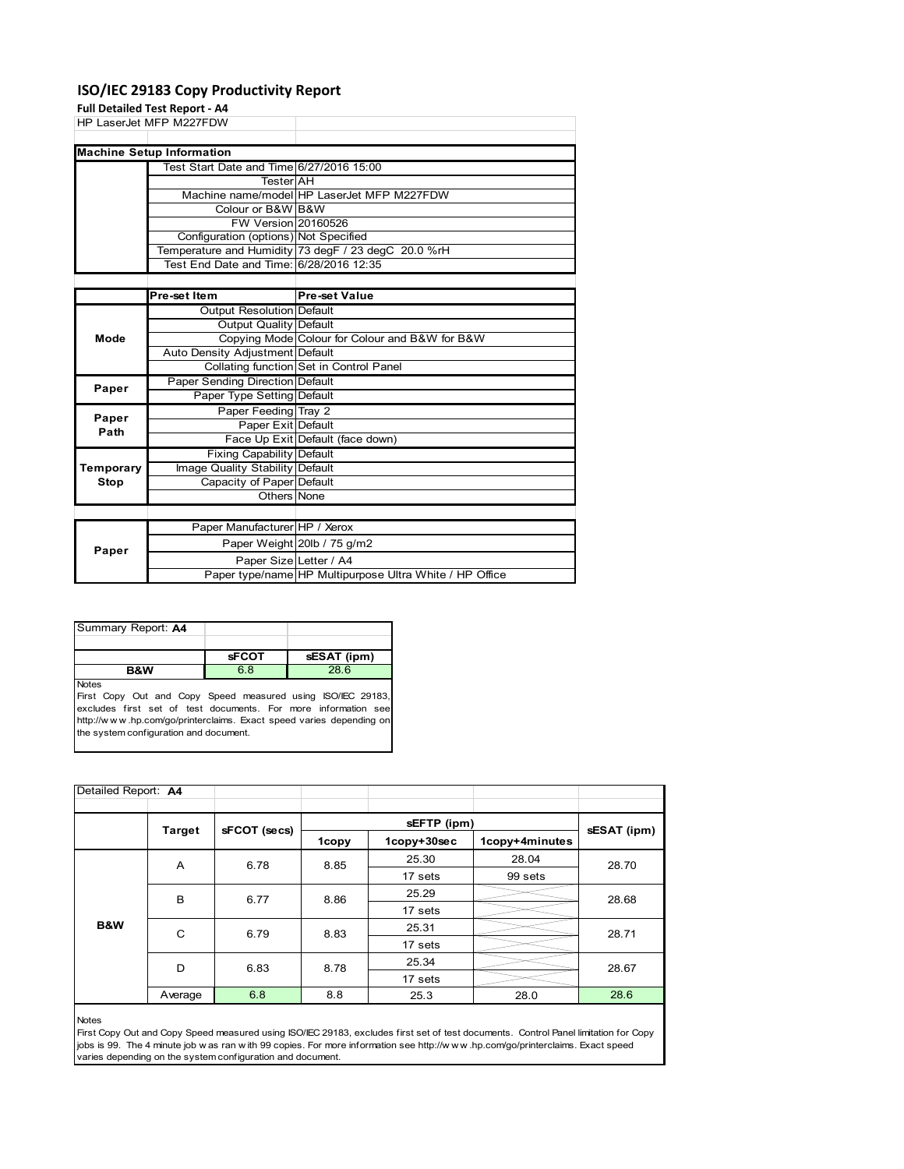# **ISO/IEC 29183 Copy Productivity Report**

# **Full Detailed Test Report ‐ A4**

|      | HP LaserJet MFP M227FDW                  |                                                     |
|------|------------------------------------------|-----------------------------------------------------|
|      |                                          |                                                     |
|      | <b>Machine Setup Information</b>         |                                                     |
|      | Test Start Date and Time 6/27/2016 15:00 |                                                     |
|      | TesterIAH                                |                                                     |
|      |                                          | Machine name/model HP LaserJet MFP M227FDW          |
|      | Colour or B&W B&W                        |                                                     |
|      | FW Version 20160526                      |                                                     |
|      | Configuration (options) Not Specified    |                                                     |
|      |                                          | Temperature and Humidity 73 degF / 23 degC 20.0 %rH |
|      | Test End Date and Time: 6/28/2016 12:35  |                                                     |
|      |                                          |                                                     |
|      | Pre-set Item                             | <b>Pre-set Value</b>                                |
|      | Output Resolution Default                |                                                     |
|      | Output Quality Default                   |                                                     |
| Mode |                                          | Copying Mode Colour for Colour and B&W for B&W      |
|      | Auto Density Adjustment Default          |                                                     |
|      |                                          | Collating function Set in Control Panel             |

|           |                                  | Collating function Set in Control Panel                 |  |  |  |  |
|-----------|----------------------------------|---------------------------------------------------------|--|--|--|--|
| Paper     | Paper Sending Direction Default  |                                                         |  |  |  |  |
|           | Paper Type Setting Default       |                                                         |  |  |  |  |
| Paper     | Paper Feeding Tray 2             |                                                         |  |  |  |  |
| Path      | Paper Exit Default               |                                                         |  |  |  |  |
|           |                                  | Face Up Exit Default (face down)                        |  |  |  |  |
|           | <b>Fixing Capability Default</b> |                                                         |  |  |  |  |
| Temporary | Image Quality Stability Default  |                                                         |  |  |  |  |
| Stop      | Capacity of Paper Default        |                                                         |  |  |  |  |
|           | Others None                      |                                                         |  |  |  |  |
|           |                                  |                                                         |  |  |  |  |
|           | Paper Manufacturer HP / Xerox    |                                                         |  |  |  |  |
| Paper     |                                  | Paper Weight 20lb / 75 g/m2                             |  |  |  |  |
|           | Paper Size Letter / A4           |                                                         |  |  |  |  |
|           |                                  | Paper type/name HP Multipurpose Ultra White / HP Office |  |  |  |  |

| Summary Report: A4 |              |             |
|--------------------|--------------|-------------|
|                    |              |             |
|                    | <b>sFCOT</b> | sESAT (ipm) |
| <b>B&amp;W</b>     | 6.8          | 28.6        |
| <b>Notes</b>       |              |             |

First Copy Out and Copy Speed measured using ISO/IEC 29183, excludes first set of test documents. For more information see http://w w w .hp.com/go/printerclaims. Exact speed varies depending on the system configuration and document.

| Detailed Report: A4 |         |              |       |             |                |             |  |
|---------------------|---------|--------------|-------|-------------|----------------|-------------|--|
|                     |         | sFCOT (secs) |       | sEFTP (ipm) |                | sESAT (ipm) |  |
|                     | Target  |              | 1copy | 1copy+30sec | 1copy+4minutes |             |  |
|                     | A       | 6.78         | 8.85  | 25.30       | 28.04          | 28.70       |  |
|                     |         |              |       | 17 sets     | 99 sets        |             |  |
|                     | B       | 6.77         | 8.86  | 25.29       |                | 28.68       |  |
|                     |         |              |       | 17 sets     |                |             |  |
| <b>B&amp;W</b>      | C       | 6.79         | 8.83  | 25.31       |                | 28.71       |  |
|                     |         |              |       | 17 sets     |                |             |  |
|                     | D       | 6.83         | 8.78  | 25.34       |                | 28.67       |  |
|                     |         |              |       | 17 sets     |                |             |  |
|                     | Average | 6.8          | 8.8   | 25.3        | 28.0           | 28.6        |  |

#### Notes

First Copy Out and Copy Speed measured using ISO/IEC 29183, excludes first set of test documents. Control Panel limitation for Copy jobs is 99. The 4 minute job w as ran w ith 99 copies. For more information see http://w w w .hp.com/go/printerclaims. Exact speed varies depending on the system configuration and document.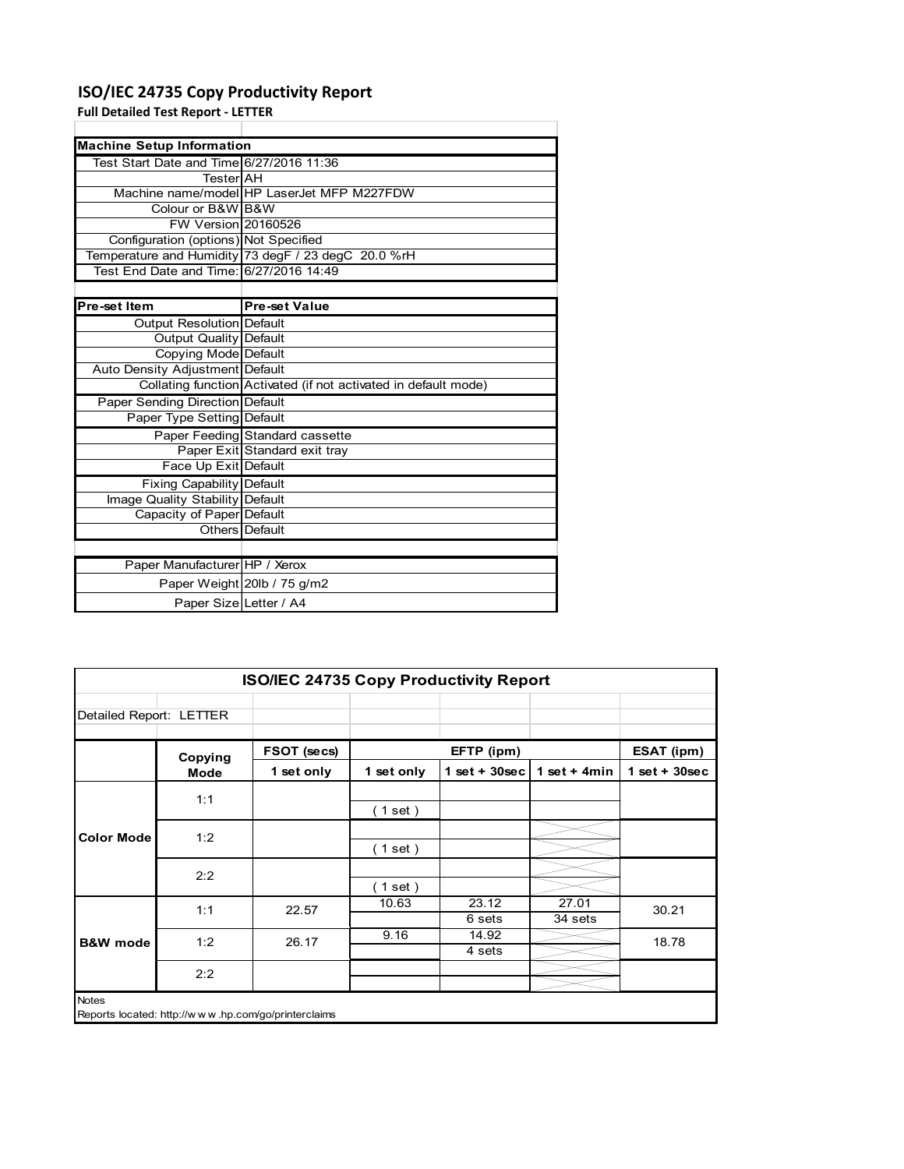# **ISO/IEC 24735 Copy Productivity Report**

**Full Detailed Test Report ‐ LETTER**

| <b>Machine Setup Information</b>         |                                                                 |
|------------------------------------------|-----------------------------------------------------------------|
| Test Start Date and Time 6/27/2016 11:36 |                                                                 |
| TesterIAH                                |                                                                 |
|                                          | Machine name/model HP LaserJet MFP M227FDW                      |
| Colour or B&W B&W                        |                                                                 |
| FW Version 20160526                      |                                                                 |
| Configuration (options) Not Specified    |                                                                 |
|                                          | Temperature and Humidity 73 degF / 23 degC 20.0 %rH             |
| Test End Date and Time: 6/27/2016 14:49  |                                                                 |
|                                          |                                                                 |
| Pre-set Item                             | <b>Pre-set Value</b>                                            |
| Output Resolution Default                |                                                                 |
| <b>Output Quality Default</b>            |                                                                 |
| Copying Mode Default                     |                                                                 |
| Auto Density Adjustment Default          |                                                                 |
|                                          | Collating function Activated (if not activated in default mode) |
| Paper Sending Direction Default          |                                                                 |
| Paper Type Setting Default               |                                                                 |
|                                          | Paper Feeding Standard cassette                                 |
|                                          | Paper Exit Standard exit tray                                   |
| Face Up Exit Default                     |                                                                 |
| <b>Fixing Capability Default</b>         |                                                                 |
| Image Quality Stability Default          |                                                                 |
| Capacity of Paper Default                |                                                                 |
|                                          | Others Default                                                  |
|                                          |                                                                 |
| Paper Manufacturer HP / Xerox            |                                                                 |
|                                          | Paper Weight 20lb / 75 g/m2                                     |
| Paper Size Letter / A4                   |                                                                 |

|                         | ISO/IEC 24735 Copy Productivity Report |                                                     |            |                 |                  |                 |  |  |
|-------------------------|----------------------------------------|-----------------------------------------------------|------------|-----------------|------------------|-----------------|--|--|
| Detailed Report: LETTER |                                        |                                                     |            |                 |                  |                 |  |  |
|                         | Copying                                | FSOT (secs)                                         |            | EFTP (ipm)      |                  | ESAT (ipm)      |  |  |
|                         | Mode                                   | 1 set only                                          | 1 set only | $1$ set + 30sec | 1 set $+$ 4min   | $1$ set + 30sec |  |  |
|                         | 1:1                                    |                                                     | (1 set)    |                 |                  |                 |  |  |
| <b>Color Mode</b>       | 1:2                                    |                                                     | (1 set)    |                 |                  |                 |  |  |
|                         | 2:2                                    |                                                     | $1$ set)   |                 |                  |                 |  |  |
|                         | 1:1                                    | 22.57                                               | 10.63      | 23.12<br>6 sets | 27.01<br>34 sets | 30.21           |  |  |
| <b>B&amp;W</b> mode     | 1:2                                    | 26.17                                               | 9.16       | 14.92<br>4 sets |                  | 18.78           |  |  |
|                         | 2:2                                    |                                                     |            |                 |                  |                 |  |  |
| <b>Notes</b>            |                                        | Reports located: http://www.hp.com/go/printerclaims |            |                 |                  |                 |  |  |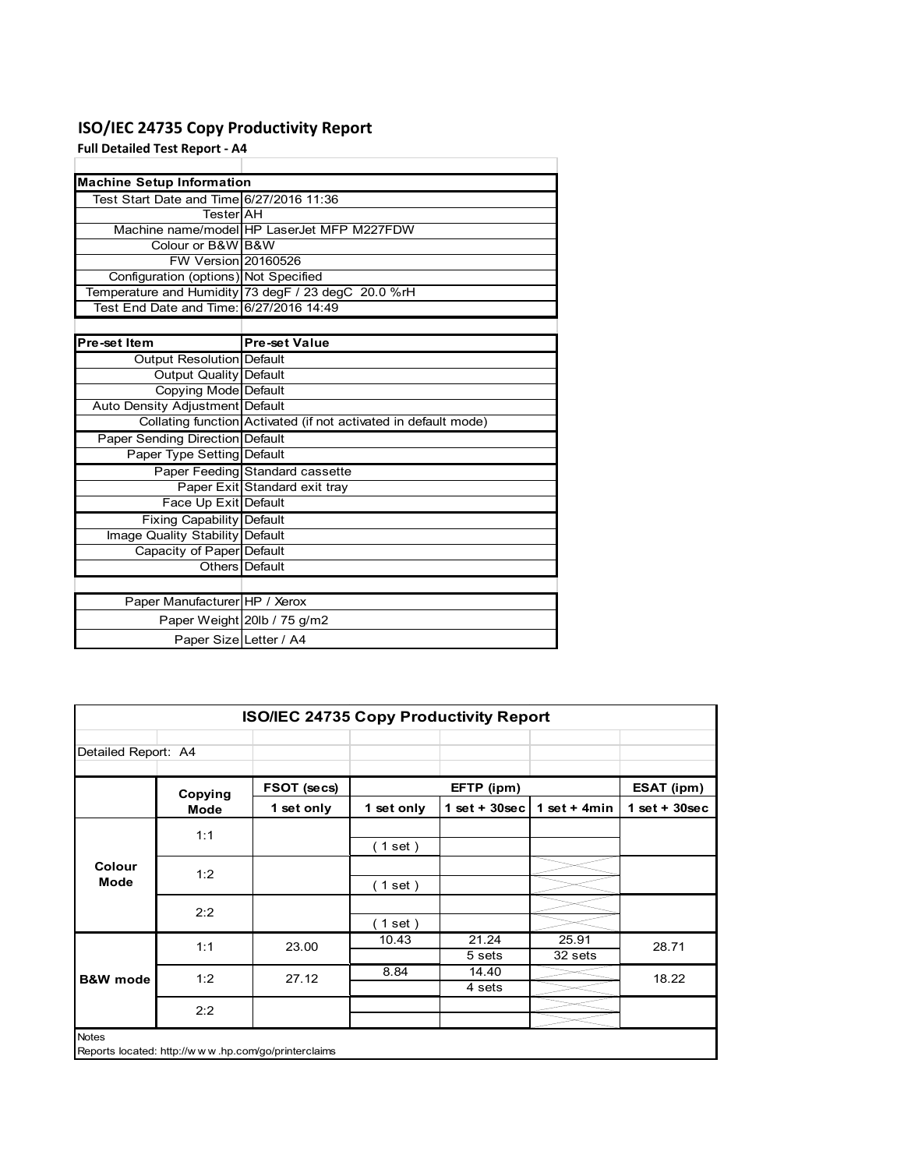# **ISO/IEC 24735 Copy Productivity Report**

**Full Detailed Test Report ‐ A4**

|                                          | <b>Machine Setup Information</b>                                |  |  |  |  |  |
|------------------------------------------|-----------------------------------------------------------------|--|--|--|--|--|
| Test Start Date and Time 6/27/2016 11:36 |                                                                 |  |  |  |  |  |
| TesterlAH                                |                                                                 |  |  |  |  |  |
|                                          | Machine name/model HP LaserJet MFP M227FDW                      |  |  |  |  |  |
| Colour or B&W B&W                        |                                                                 |  |  |  |  |  |
| FW Version 20160526                      |                                                                 |  |  |  |  |  |
| Configuration (options) Not Specified    |                                                                 |  |  |  |  |  |
|                                          | Temperature and Humidity 73 degF / 23 degC 20.0 %rH             |  |  |  |  |  |
| Test End Date and Time: 6/27/2016 14:49  |                                                                 |  |  |  |  |  |
|                                          |                                                                 |  |  |  |  |  |
| Pre-set Item                             | <b>Pre-set Value</b>                                            |  |  |  |  |  |
| Output Resolution Default                |                                                                 |  |  |  |  |  |
| Output Quality Default                   |                                                                 |  |  |  |  |  |
| Copying Mode Default                     |                                                                 |  |  |  |  |  |
| Auto Density Adjustment Default          |                                                                 |  |  |  |  |  |
|                                          | Collating function Activated (if not activated in default mode) |  |  |  |  |  |
| Paper Sending Direction Default          |                                                                 |  |  |  |  |  |
| Paper Type Setting Default               |                                                                 |  |  |  |  |  |
|                                          | Paper Feeding Standard cassette                                 |  |  |  |  |  |
|                                          | Paper Exit Standard exit tray                                   |  |  |  |  |  |
| Face Up Exit Default                     |                                                                 |  |  |  |  |  |
| Fixing Capability Default                |                                                                 |  |  |  |  |  |
| Image Quality Stability Default          |                                                                 |  |  |  |  |  |
| Capacity of Paper Default                |                                                                 |  |  |  |  |  |
|                                          | <b>Others</b> Default                                           |  |  |  |  |  |
|                                          |                                                                 |  |  |  |  |  |
| Paper Manufacturer HP / Xerox            |                                                                 |  |  |  |  |  |
|                                          | Paper Weight 20lb / 75 g/m2                                     |  |  |  |  |  |
| Paper Size Letter / A4                   |                                                                 |  |  |  |  |  |

|                       | <b>ISO/IEC 24735 Copy Productivity Report</b>       |             |            |                 |                  |                 |  |  |
|-----------------------|-----------------------------------------------------|-------------|------------|-----------------|------------------|-----------------|--|--|
| Detailed Report: A4   |                                                     |             |            |                 |                  |                 |  |  |
|                       | Copying                                             | FSOT (secs) |            | EFTP (ipm)      |                  | ESAT (ipm)      |  |  |
|                       | Mode                                                | 1 set only  | 1 set only | $1$ set + 30sec | 1 set + $4min$   | $1$ set + 30sec |  |  |
|                       | 1:1                                                 |             | (1 set)    |                 |                  |                 |  |  |
| Colour<br><b>Mode</b> | 1:2                                                 |             | (1 set)    |                 |                  |                 |  |  |
|                       | 2:2                                                 |             | (1 set)    |                 |                  |                 |  |  |
|                       | 1:1                                                 | 23.00       | 10.43      | 21.24<br>5 sets | 25.91<br>32 sets | 28.71           |  |  |
| <b>B&amp;W</b> mode   | 1:2                                                 | 27.12       | 8.84       | 14.40<br>4 sets |                  | 18.22           |  |  |
|                       | 2:2                                                 |             |            |                 |                  |                 |  |  |
| <b>Notes</b>          | Reports located: http://www.hp.com/go/printerclaims |             |            |                 |                  |                 |  |  |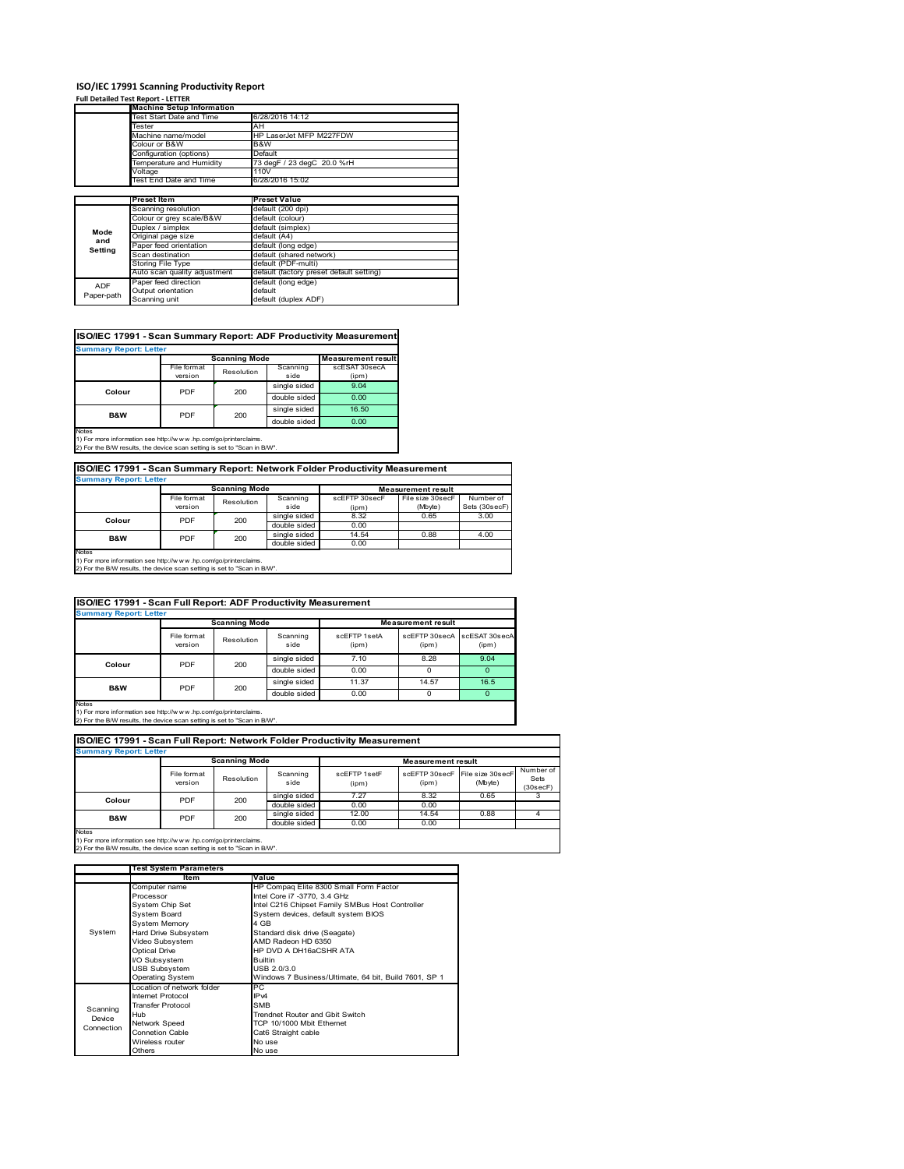### **ISO/IEC 17991 Scanning Productivity Report**

### **Full Detailed Test Report ‐ LETTER**

|            | <b>Machine Setup Information</b> |                                          |  |  |  |
|------------|----------------------------------|------------------------------------------|--|--|--|
|            | Test Start Date and Time         | 6/28/2016 14:12                          |  |  |  |
|            | Tester                           | AH                                       |  |  |  |
|            | Machine name/model               | HP LaserJet MFP M227FDW                  |  |  |  |
|            | Colour or B&W                    | B&W                                      |  |  |  |
|            | Configuration (options)          | Default                                  |  |  |  |
|            | Temperature and Humidity         | 73 degF / 23 degC 20.0 %rH               |  |  |  |
|            | Voltage                          | 110V                                     |  |  |  |
|            | <b>Test End Date and Time</b>    | 6/28/2016 15:02                          |  |  |  |
|            |                                  |                                          |  |  |  |
|            | <b>Preset Item</b>               | <b>Preset Value</b>                      |  |  |  |
|            | Scanning resolution              | default (200 dpi)                        |  |  |  |
|            | Colour or grey scale/B&W         | default (colour)                         |  |  |  |
| Mode       | Duplex / simplex                 | default (simplex)                        |  |  |  |
| and        | Original page size               | default (A4)                             |  |  |  |
| Setting    | Paper feed orientation           | default (long edge)                      |  |  |  |
|            | Scan destination                 | default (shared network)                 |  |  |  |
|            | Storing File Type                | default (PDF-multi)                      |  |  |  |
|            | Auto scan quality adjustment     | default (factory preset default setting) |  |  |  |
| <b>ADF</b> | Paper feed direction             | default (long edge)                      |  |  |  |
|            | Output orientation               | default                                  |  |  |  |
| Paper-path | Scanning unit                    | default (duplex ADF)                     |  |  |  |

## **ISO/IEC 17991 - Scan Summary Report: ADF Productivity Measurement**

| <b>Summary Report: Letter</b>                                                                 |             |                      |              |                           |
|-----------------------------------------------------------------------------------------------|-------------|----------------------|--------------|---------------------------|
|                                                                                               |             | <b>Scanning Mode</b> |              | <b>Measurement result</b> |
|                                                                                               | File format | Resolution           | Scanning     | scESAT 30secA             |
|                                                                                               | version     |                      | side         | (ipm)                     |
|                                                                                               | PDF         | 200                  | single sided | 9.04                      |
| Colour                                                                                        |             |                      | double sided | 0.00                      |
| <b>B&amp;W</b>                                                                                | PDF         | 200                  | single sided | 16.50                     |
|                                                                                               |             |                      | double sided | 0.00                      |
| <b>Notes</b><br>45 Februaries information and interference for a conference industrial inter- |             |                      |              |                           |

1) For more information see http://w w w .hp.com/go/printerclaims. 2) For the B/W results, the device scan setting is set to "Scan in B/W".

## **ISO/IEC 17991 - Scan Summary Report: Network Folder Productivity Measurement**

| <b>Summary Report: Letter</b><br><b>Scanning Mode</b><br><b>Measurement result</b>                                                                          |                        |            |                              |                        |                             |                            |
|-------------------------------------------------------------------------------------------------------------------------------------------------------------|------------------------|------------|------------------------------|------------------------|-----------------------------|----------------------------|
|                                                                                                                                                             | File format<br>version | Resolution | Scanning<br>side             | scEFTP 30secF<br>(ipm) | File size 30secF<br>(Mbyte) | Number of<br>Sets (30secF) |
| Colour                                                                                                                                                      | PDF                    | 200        | single sided<br>double sided | 8.32<br>0.00           | 0.65                        | 3.00                       |
| B&W                                                                                                                                                         | PDF                    | 200        | single sided<br>double sided | 14.54<br>0.00          | 0.88                        | 4.00                       |
| <b>Notes</b><br>1) For more information see http://www.hp.com/go/printerclaims.<br>2) For the B/W results, the device scan setting is set to "Scan in B/W". |                        |            |                              |                        |                             |                            |

| ISO/IEC 17991 - Scan Full Report: ADF Productivity Measurement |                        |                      |                  |                       |                           |                        |  |  |
|----------------------------------------------------------------|------------------------|----------------------|------------------|-----------------------|---------------------------|------------------------|--|--|
| <b>Summary Report: Letter</b>                                  |                        |                      |                  |                       |                           |                        |  |  |
|                                                                |                        | <b>Scanning Mode</b> |                  |                       | <b>Measurement result</b> |                        |  |  |
|                                                                | File format<br>version | Resolution           | Scanning<br>side | scFFTP 1setA<br>(ipm) | scEFTP 30secA<br>(ipm)    | scESAT 30secA<br>(ipm) |  |  |
| Colour                                                         | PDF<br>200             |                      | single sided     | 7.10                  | 8.28                      | 9.04                   |  |  |
|                                                                |                        |                      | double sided     | 0.00                  | $\Omega$                  | $\Omega$               |  |  |
|                                                                | PDF                    |                      | single sided     | 11.37                 | 14.57                     | 16.5                   |  |  |
| B&W                                                            | 200                    |                      | double sided     | 0.00                  |                           |                        |  |  |

Notes 1) For more information see http://w w w .hp.com/go/printerclaims. 2) For the B/W results, the device scan setting is set to "Scan in B/W".

| <b>Summary Report: Letter</b> |                        |            |                              |                           |              |                                           |                               |
|-------------------------------|------------------------|------------|------------------------------|---------------------------|--------------|-------------------------------------------|-------------------------------|
|                               | <b>Scanning Mode</b>   |            |                              | <b>Measurement result</b> |              |                                           |                               |
|                               | File format<br>version | Resolution | Scanning<br>side             | scFFTP 1setF<br>(ipm)     | (ipm)        | scEFTP 30secF File size 30secF<br>(Mbyte) | Number of<br>Sets<br>(30secF) |
| Colour                        | PDF                    | 200        | single sided<br>double sided | 7.27<br>0.00              | 8.32<br>0.00 | 0.65                                      |                               |
| <b>B&amp;W</b>                | PDF                    | 200        | single sided                 | 12.00                     | 14.54        | 0.88                                      |                               |
|                               |                        |            | double sided                 | 0.00                      | 0.00         |                                           |                               |

1) For more information see http://w w w .hp.com/go/printerclaims. 2) For the B/W results, the device scan setting is set to "Scan in B/W".

|            | <b>Test System Parameters</b> |                                                       |  |  |
|------------|-------------------------------|-------------------------------------------------------|--|--|
|            | Item                          | Value                                                 |  |  |
|            | Computer name                 | HP Compaq Elite 8300 Small Form Factor                |  |  |
|            | Processor                     | Intel Core i7 -3770, 3.4 GHz                          |  |  |
|            | System Chip Set               | Intel C216 Chipset Family SMBus Host Controller       |  |  |
|            | System Board                  | System devices, default system BIOS                   |  |  |
|            | <b>System Memory</b>          | 4 GB                                                  |  |  |
| System     | Hard Drive Subsystem          | Standard disk drive (Seagate)                         |  |  |
|            | Video Subsystem               | AMD Radeon HD 6350                                    |  |  |
|            | <b>Optical Drive</b>          | HP DVD A DH16aCSHR ATA                                |  |  |
|            | I/O Subsystem                 | <b>Builtin</b>                                        |  |  |
|            | <b>USB Subsystem</b>          | USB 2.0/3.0                                           |  |  |
|            | <b>Operating System</b>       | Windows 7 Business/Ultimate, 64 bit, Build 7601, SP 1 |  |  |
|            | Location of network folder    | РC                                                    |  |  |
|            | Internet Protocol             | IP <sub>v4</sub>                                      |  |  |
| Scanning   | <b>Transfer Protocol</b>      | <b>SMB</b>                                            |  |  |
| Device     | Hub                           | Trendnet Router and Gbit Switch                       |  |  |
| Connection | <b>Network Speed</b>          | TCP 10/1000 Mbit Ethernet                             |  |  |
|            | <b>Connetion Cable</b>        | Cat6 Straight cable                                   |  |  |
|            | Wireless router               | No use                                                |  |  |
|            | Others                        | No use                                                |  |  |